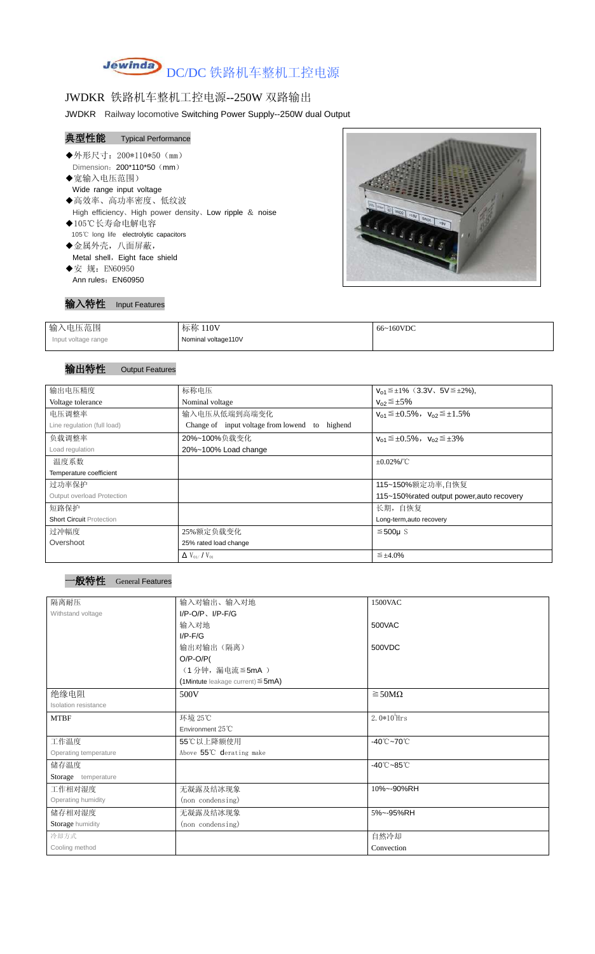# Jewinda DC/DC 铁路机车整机工控电源

## JWDKR 铁路机车整机工控电源--250W 双路输出

JWDKR Railway locomotive Switching Power Supply--250W dual Output

# 典型性能 Typical Performance

- ◆外形尺寸: 200\*110\*50 (mm) Dimension: 200\*110\*50 (mm)
- ◆宽输入电压范围) Wide range input voltage ◆高效率、高功率密度、低纹波 High efficiency、High power density、Low ripple & noise
- ◆105℃长寿命电解电容 105℃ long life electrolytic capacitors
- ◆金属外壳,八面屏蔽, Metal shell, Eight face shield ◆安 规: EN60950
- Ann rules: EN60950



输入特性 Input Features

| 输入电压范围              | 标称 110V             | 66~160VDC |
|---------------------|---------------------|-----------|
| Input voltage range | Nominal voltage110V |           |

### 输出特性 Output Features

#### 一般特性 General Features

| 输出电压精度                            | 标称电压                                              | $V_{01} \leq \pm 1\%$ (3.3V, 5V $\leq \pm 2\%$ ), |
|-----------------------------------|---------------------------------------------------|---------------------------------------------------|
| Voltage tolerance                 | Nominal voltage                                   | $V_{02} \leq \pm 5\%$                             |
| 电压调整率                             | 输入电压从低端到高端变化                                      | $V_{01} \leq \pm 0.5\%$ , $V_{02} \leq \pm 1.5\%$ |
| Line regulation (full load)       | Change of input voltage from lowend to<br>highend |                                                   |
| 负载调整率                             | 20%~100%负载变化                                      | $V_{01} \leq \pm 0.5\%$ , $V_{02} \leq \pm 3\%$   |
| Load regulation                   | 20%~100% Load change                              |                                                   |
| 温度系数                              |                                                   | $\pm 0.02\%$ /°C                                  |
| Temperature coefficient           |                                                   |                                                   |
| 过功率保护                             |                                                   | 115~150%额定功率,自恢复                                  |
| <b>Output overload Protection</b> |                                                   | 115~150%rated output power, auto recovery         |
| 短路保护                              |                                                   | 长期, 自恢复                                           |
| <b>Short Circuit Protection</b>   |                                                   | Long-term, auto recovery                          |
| 过冲幅度                              | 25%额定负载变化                                         | $≤500µ$ S                                         |
| Overshoot                         | 25% rated load change                             |                                                   |
|                                   | $\Delta$ V <sub>01</sub> /V <sub>01</sub>         | $\leq \pm 4.0\%$                                  |

| 隔离耐压                  | 输入对输出、输入对地                                | 1500VAC                         |
|-----------------------|-------------------------------------------|---------------------------------|
|                       |                                           |                                 |
| Withstand voltage     | $I/P$ -O/P, $I/P$ -F/G                    |                                 |
|                       | 输入对地                                      | 500VAC                          |
|                       | $I/P$ - $F/G$                             |                                 |
|                       | 输出对输出(隔离)                                 | 500VDC                          |
|                       | $O/P-O/P($                                |                                 |
|                       | (1分钟,漏电流 ≦ 5mA)                           |                                 |
|                       | $(1$ Mintute leakage current) $\leq$ 5mA) |                                 |
| 绝缘电阻                  | 500V                                      | $\geq$ 50M $\Omega$             |
| Isolation resistance  |                                           |                                 |
| <b>MTBF</b>           | 环境 25℃                                    | $2.0*105$ Hrs                   |
|                       | Environment 25°C                          |                                 |
| 工作温度                  | 55℃以上降额使用                                 | -40 $°C$ ~70 $°C$               |
| Operating temperature | Above 55℃ derating make                   |                                 |
| 储存温度                  |                                           | $-40^{\circ}$ C $-85^{\circ}$ C |
| Storage temperature   |                                           |                                 |
| 工作相对湿度                | 无凝露及结冰现象                                  | 10%~-90%RH                      |
| Operating humidity    | (non condensing)                          |                                 |
| 储存相对湿度                | 无凝露及结冰现象                                  | 5%~-95%RH                       |
| Storage humidity      | (non condensing)                          |                                 |
| 冷却方式                  |                                           | 自然冷却                            |
| Cooling method        |                                           | Convection                      |